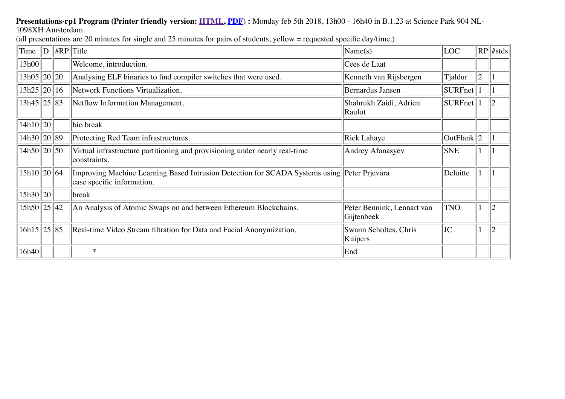## **Presentations-rp1 Program (Printer friendly version: <b>[HTML](http://rp.delaat.net/2017-2018/program1.html)**, [PDF](http://rp.delaat.net/2017-2018/program1.pdf)): Monday feb 5th 2018, 13h00 - 16h40 in B.1.23 at Science Park 904 NL-

1098XH Amsterdam.

(all presentations are 20 minutes for single and 25 minutes for pairs of students, yellow = requested specific day/time.)

| Time            | D | $\Vert \#RP \Vert$ Title                                                                                                  | Name(s)                                  | LOC <sup>1</sup> |                | $RP$ #stds     |
|-----------------|---|---------------------------------------------------------------------------------------------------------------------------|------------------------------------------|------------------|----------------|----------------|
| 13h00           |   | Welcome, introduction.                                                                                                    | Cees de Laat                             |                  |                |                |
| 13h05  20  20   |   | Analysing ELF binaries to find compiler switches that were used.                                                          | Kenneth van Rijsbergen                   | Tjaldur          | $\overline{2}$ |                |
| 13h25  20  16   |   | Network Functions Virtualization.                                                                                         | <b>Bernardus Jansen</b>                  | SURFnet          |                |                |
| $13h45$ 25 83   |   | Netflow Information Management.                                                                                           | Shahrukh Zaidi, Adrien<br>Raulot         | <b>SURFnet</b>   |                | $\overline{2}$ |
| 14h10 20        |   | bio break                                                                                                                 |                                          |                  |                |                |
| $14h30$  20 89  |   | Protecting Red Team infrastructures.                                                                                      | Rick Lahaye                              | OutFlank $ 2$    |                |                |
| $14h50$  20  50 |   | Virtual infrastructure partitioning and provisioning under nearly real-time<br>constraints.                               | Andrey Afanasyev                         | <b>SNE</b>       |                |                |
| 15h10  20  64   |   | Improving Machine Learning Based Intrusion Detection for SCADA Systems using Peter Prievara<br>case specific information. |                                          | Deloitte         |                |                |
| 15h30 20        |   | break                                                                                                                     |                                          |                  |                |                |
| $15h50$  25  42 |   | An Analysis of Atomic Swaps on and between Ethereum Blockchains.                                                          | Peter Bennink, Lennart van<br>Gijtenbeek | <b>TNO</b>       |                |                |
| $16h15$ 25 85   |   | Real-time Video Stream filtration for Data and Facial Anonymization.                                                      | Swann Scholtes, Chris<br>Kuipers         | JC               |                |                |
| 16h40           |   | $\ast$                                                                                                                    | End                                      |                  |                |                |